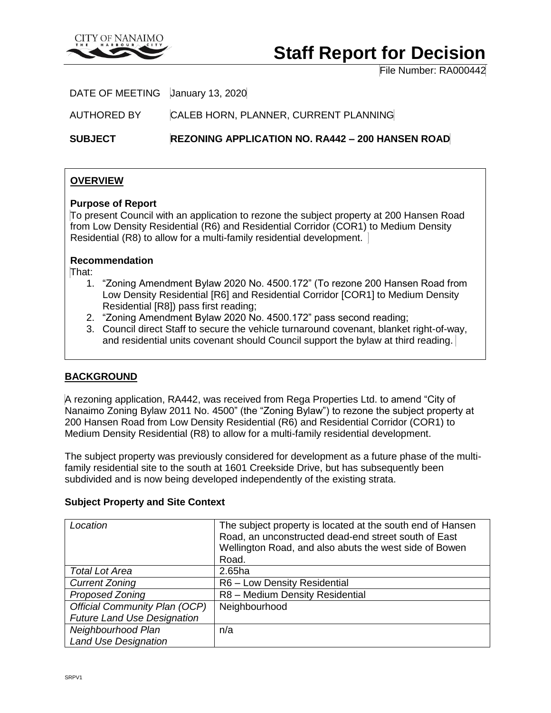

# **Staff Report for Decision**

File Number: RA000442

DATE OF MEETING January 13, 2020

AUTHORED BY CALEB HORN, PLANNER, CURRENT PLANNING

**SUBJECT REZONING APPLICATION NO. RA442 – 200 HANSEN ROAD**

# **OVERVIEW**

#### **Purpose of Report**

To present Council with an application to rezone the subject property at 200 Hansen Road from Low Density Residential (R6) and Residential Corridor (COR1) to Medium Density Residential (R8) to allow for a multi-family residential development.

#### **Recommendation**

That:

- 1. "Zoning Amendment Bylaw 2020 No. 4500.172" (To rezone 200 Hansen Road from Low Density Residential [R6] and Residential Corridor [COR1] to Medium Density Residential [R8]) pass first reading;
- 2. "Zoning Amendment Bylaw 2020 No. 4500.172" pass second reading;
- 3. Council direct Staff to secure the vehicle turnaround covenant, blanket right-of-way, and residential units covenant should Council support the bylaw at third reading.

# **BACKGROUND**

A rezoning application, RA442, was received from Rega Properties Ltd. to amend "City of Nanaimo Zoning Bylaw 2011 No. 4500" (the "Zoning Bylaw") to rezone the subject property at 200 Hansen Road from Low Density Residential (R6) and Residential Corridor (COR1) to Medium Density Residential (R8) to allow for a multi-family residential development.

The subject property was previously considered for development as a future phase of the multifamily residential site to the south at 1601 Creekside Drive, but has subsequently been subdivided and is now being developed independently of the existing strata.

#### **Subject Property and Site Context**

| Location                             | The subject property is located at the south end of Hansen<br>Road, an unconstructed dead-end street south of East<br>Wellington Road, and also abuts the west side of Bowen<br>Road. |
|--------------------------------------|---------------------------------------------------------------------------------------------------------------------------------------------------------------------------------------|
| <b>Total Lot Area</b>                | 2.65ha                                                                                                                                                                                |
| <b>Current Zoning</b>                | R6 - Low Density Residential                                                                                                                                                          |
| <b>Proposed Zoning</b>               | R8 - Medium Density Residential                                                                                                                                                       |
| <b>Official Community Plan (OCP)</b> | Neighbourhood                                                                                                                                                                         |
| <b>Future Land Use Designation</b>   |                                                                                                                                                                                       |
| Neighbourhood Plan                   | n/a                                                                                                                                                                                   |
| <b>Land Use Designation</b>          |                                                                                                                                                                                       |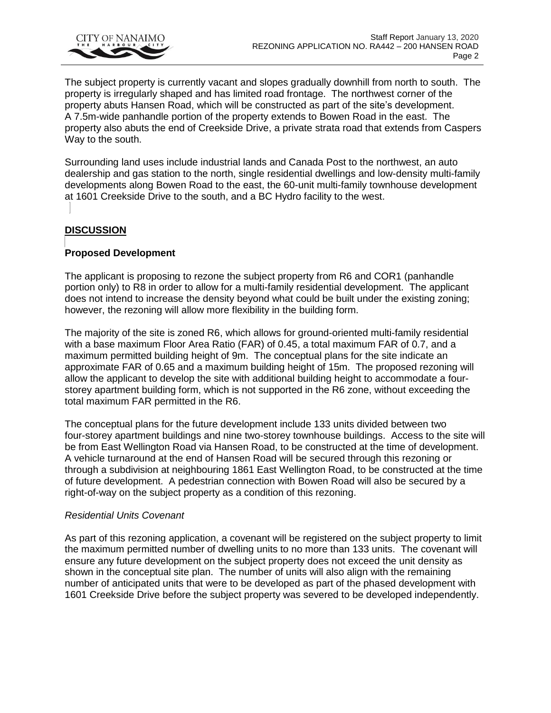

The subject property is currently vacant and slopes gradually downhill from north to south. The property is irregularly shaped and has limited road frontage. The northwest corner of the property abuts Hansen Road, which will be constructed as part of the site's development. A 7.5m-wide panhandle portion of the property extends to Bowen Road in the east. The property also abuts the end of Creekside Drive, a private strata road that extends from Caspers Way to the south.

Surrounding land uses include industrial lands and Canada Post to the northwest, an auto dealership and gas station to the north, single residential dwellings and low-density multi-family developments along Bowen Road to the east, the 60-unit multi-family townhouse development at 1601 Creekside Drive to the south, and a BC Hydro facility to the west.

# **DISCUSSION**

#### **Proposed Development**

The applicant is proposing to rezone the subject property from R6 and COR1 (panhandle portion only) to R8 in order to allow for a multi-family residential development. The applicant does not intend to increase the density beyond what could be built under the existing zoning; however, the rezoning will allow more flexibility in the building form.

The majority of the site is zoned R6, which allows for ground-oriented multi-family residential with a base maximum Floor Area Ratio (FAR) of 0.45, a total maximum FAR of 0.7, and a maximum permitted building height of 9m. The conceptual plans for the site indicate an approximate FAR of 0.65 and a maximum building height of 15m. The proposed rezoning will allow the applicant to develop the site with additional building height to accommodate a fourstorey apartment building form, which is not supported in the R6 zone, without exceeding the total maximum FAR permitted in the R6.

The conceptual plans for the future development include 133 units divided between two four-storey apartment buildings and nine two-storey townhouse buildings. Access to the site will be from East Wellington Road via Hansen Road, to be constructed at the time of development. A vehicle turnaround at the end of Hansen Road will be secured through this rezoning or through a subdivision at neighbouring 1861 East Wellington Road, to be constructed at the time of future development. A pedestrian connection with Bowen Road will also be secured by a right-of-way on the subject property as a condition of this rezoning.

#### *Residential Units Covenant*

As part of this rezoning application, a covenant will be registered on the subject property to limit the maximum permitted number of dwelling units to no more than 133 units. The covenant will ensure any future development on the subject property does not exceed the unit density as shown in the conceptual site plan. The number of units will also align with the remaining number of anticipated units that were to be developed as part of the phased development with 1601 Creekside Drive before the subject property was severed to be developed independently.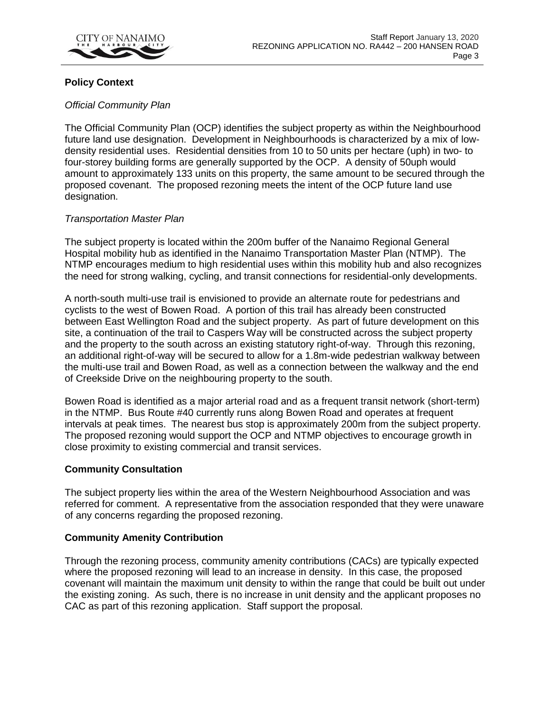

# **Policy Context**

#### *Official Community Plan*

The Official Community Plan (OCP) identifies the subject property as within the Neighbourhood future land use designation. Development in Neighbourhoods is characterized by a mix of lowdensity residential uses. Residential densities from 10 to 50 units per hectare (uph) in two- to four-storey building forms are generally supported by the OCP. A density of 50uph would amount to approximately 133 units on this property, the same amount to be secured through the proposed covenant. The proposed rezoning meets the intent of the OCP future land use designation.

#### *Transportation Master Plan*

The subject property is located within the 200m buffer of the Nanaimo Regional General Hospital mobility hub as identified in the Nanaimo Transportation Master Plan (NTMP). The NTMP encourages medium to high residential uses within this mobility hub and also recognizes the need for strong walking, cycling, and transit connections for residential-only developments.

A north-south multi-use trail is envisioned to provide an alternate route for pedestrians and cyclists to the west of Bowen Road. A portion of this trail has already been constructed between East Wellington Road and the subject property. As part of future development on this site, a continuation of the trail to Caspers Way will be constructed across the subject property and the property to the south across an existing statutory right-of-way. Through this rezoning, an additional right-of-way will be secured to allow for a 1.8m-wide pedestrian walkway between the multi-use trail and Bowen Road, as well as a connection between the walkway and the end of Creekside Drive on the neighbouring property to the south.

Bowen Road is identified as a major arterial road and as a frequent transit network (short-term) in the NTMP. Bus Route #40 currently runs along Bowen Road and operates at frequent intervals at peak times. The nearest bus stop is approximately 200m from the subject property. The proposed rezoning would support the OCP and NTMP objectives to encourage growth in close proximity to existing commercial and transit services.

#### **Community Consultation**

The subject property lies within the area of the Western Neighbourhood Association and was referred for comment. A representative from the association responded that they were unaware of any concerns regarding the proposed rezoning.

#### **Community Amenity Contribution**

Through the rezoning process, community amenity contributions (CACs) are typically expected where the proposed rezoning will lead to an increase in density. In this case, the proposed covenant will maintain the maximum unit density to within the range that could be built out under the existing zoning. As such, there is no increase in unit density and the applicant proposes no CAC as part of this rezoning application. Staff support the proposal.